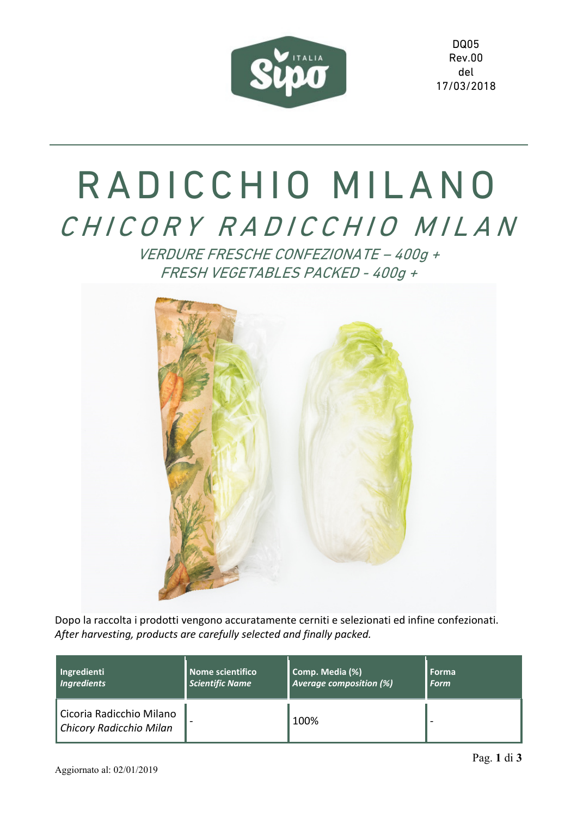

DQ05 Rev.00 del 17/03/2018

## RADICCHIO MILANO CHICORY RADICCHIO MILAN

VERDURE FRESCHE CONFEZIONATE – 400g + FRESH VEGETABLES PACKED - 400g +



Dopo la raccolta i prodotti vengono accuratamente cerniti e selezionati ed infine confezionati. *After harvesting, products are carefully selected and finally packed.* 

| Ingredienti                                         | Nome scientifico       | Comp. Media (%)                | <b>Forma</b> |
|-----------------------------------------------------|------------------------|--------------------------------|--------------|
| <b>Ingredients</b>                                  | <b>Scientific Name</b> | <b>Average composition (%)</b> | <b>Form</b>  |
| Cicoria Radicchio Milano<br>Chicory Radicchio Milan |                        | 100%                           |              |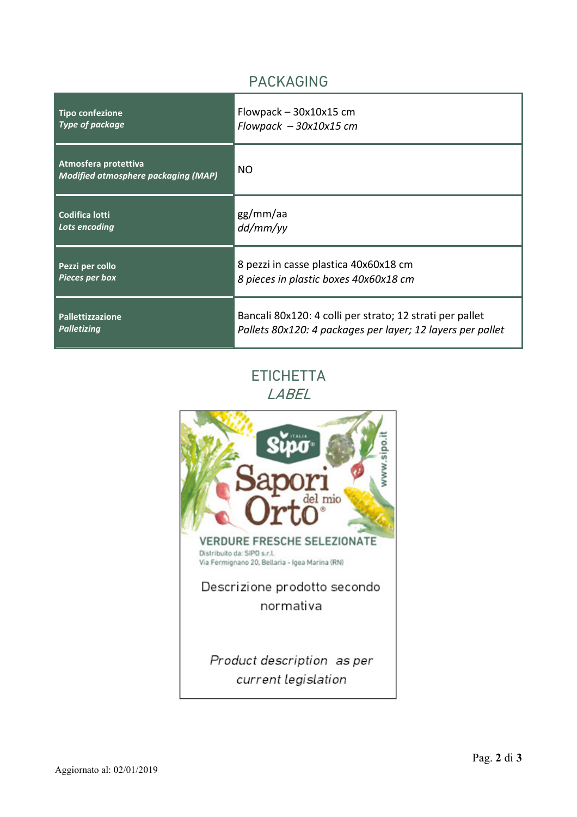## PACKAGING

| <b>Tipo confezione</b>                                             | Flowpack $-$ 30x10x15 cm                                   |
|--------------------------------------------------------------------|------------------------------------------------------------|
| <b>Type of package</b>                                             | Flowpack $-30x10x15$ cm                                    |
| Atmosfera protettiva<br><b>Modified atmosphere packaging (MAP)</b> | <b>NO</b>                                                  |
| <b>Codifica lotti</b>                                              | gg/mm/aa                                                   |
| Lots encoding                                                      | dd/mm/yy                                                   |
| Pezzi per collo                                                    | 8 pezzi in casse plastica 40x60x18 cm                      |
| <b>Pieces per box</b>                                              | 8 pieces in plastic boxes 40x60x18 cm                      |
| <b>Pallettizzazione</b>                                            | Bancali 80x120: 4 colli per strato; 12 strati per pallet   |
| <b>Palletizing</b>                                                 | Pallets 80x120: 4 packages per layer; 12 layers per pallet |

## **ETICHETTA** LABEL